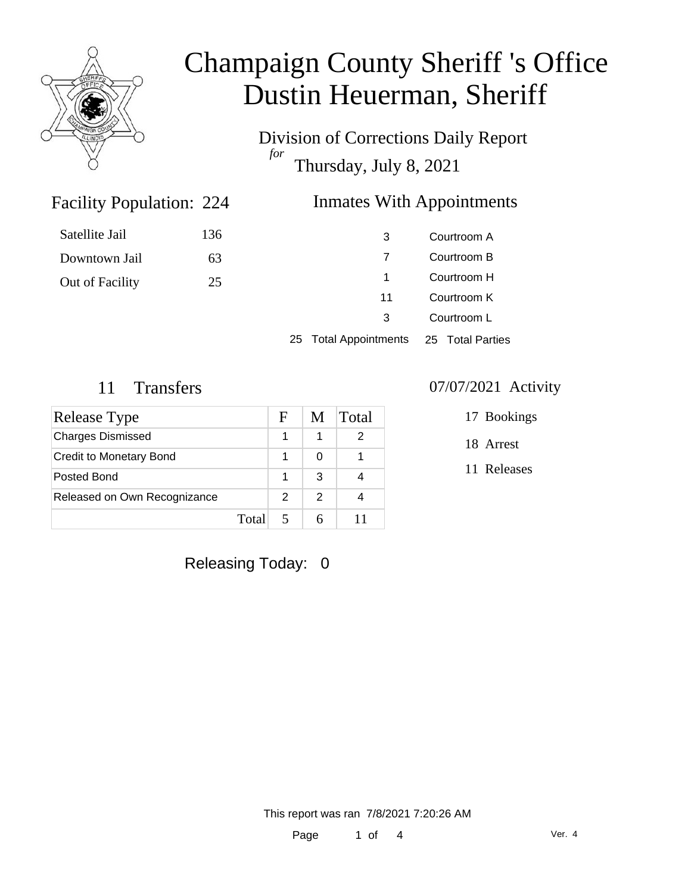

Division of Corrections Daily Report *for* Thursday, July 8, 2021

### Inmates With Appointments

| Satellite Jail  | 136 | 3  | Courtroom A |
|-----------------|-----|----|-------------|
| Downtown Jail   | 63  |    | Courtroom B |
| Out of Facility | 25  |    | Courtroom H |
|                 |     | 11 | Courtroom K |
|                 |     | 3  | Courtroom L |
|                 |     |    |             |

25 Total Appointments 25 Total Parties

### 11 Transfers 07/07/2021 Activity

Facility Population: 224

| Release Type                 |       | F | M. | Total |
|------------------------------|-------|---|----|-------|
| <b>Charges Dismissed</b>     |       |   |    |       |
| Credit to Monetary Bond      |       |   | 0  |       |
| Posted Bond                  |       |   | 3  |       |
| Released on Own Recognizance |       | 2 | 2  |       |
|                              | Total |   |    |       |

- 17 Bookings
- 18 Arrest
- 11 Releases

Releasing Today: 0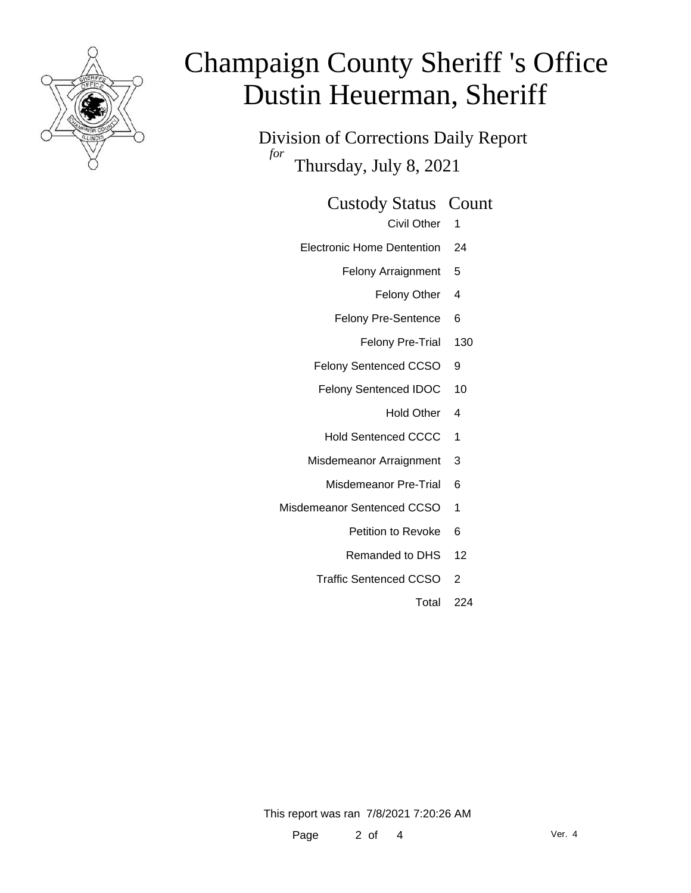

Division of Corrections Daily Report *for* Thursday, July 8, 2021

#### Custody Status Count

- Civil Other 1
- Electronic Home Dentention 24
	- Felony Arraignment 5
		- Felony Other 4
	- Felony Pre-Sentence 6
		- Felony Pre-Trial 130
	- Felony Sentenced CCSO 9
	- Felony Sentenced IDOC 10
		- Hold Other 4
		- Hold Sentenced CCCC 1
	- Misdemeanor Arraignment 3
		- Misdemeanor Pre-Trial 6
- Misdemeanor Sentenced CCSO 1
	- Petition to Revoke 6
	- Remanded to DHS 12
	- Traffic Sentenced CCSO 2
		- Total 224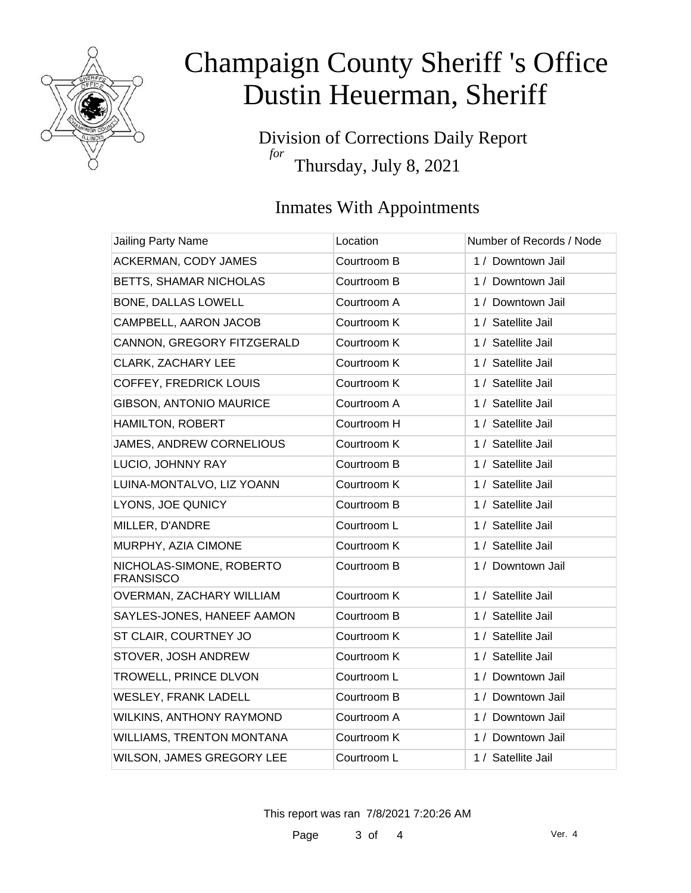

Division of Corrections Daily Report *for* Thursday, July 8, 2021

### Inmates With Appointments

| Jailing Party Name                           | Location    | Number of Records / Node |
|----------------------------------------------|-------------|--------------------------|
| ACKERMAN, CODY JAMES                         | Courtroom B | 1 / Downtown Jail        |
| BETTS, SHAMAR NICHOLAS                       | Courtroom B | 1 / Downtown Jail        |
| BONE, DALLAS LOWELL                          | Courtroom A | 1 / Downtown Jail        |
| CAMPBELL, AARON JACOB                        | Courtroom K | 1 / Satellite Jail       |
| CANNON, GREGORY FITZGERALD                   | Courtroom K | 1 / Satellite Jail       |
| <b>CLARK, ZACHARY LEE</b>                    | Courtroom K | 1 / Satellite Jail       |
| <b>COFFEY, FREDRICK LOUIS</b>                | Courtroom K | 1 / Satellite Jail       |
| GIBSON, ANTONIO MAURICE                      | Courtroom A | 1 / Satellite Jail       |
| HAMILTON, ROBERT                             | Courtroom H | 1 / Satellite Jail       |
| JAMES, ANDREW CORNELIOUS                     | Courtroom K | 1 / Satellite Jail       |
| LUCIO, JOHNNY RAY                            | Courtroom B | 1 / Satellite Jail       |
| LUINA-MONTALVO, LIZ YOANN                    | Courtroom K | 1 / Satellite Jail       |
| LYONS, JOE QUNICY                            | Courtroom B | 1 / Satellite Jail       |
| MILLER, D'ANDRE                              | Courtroom L | 1 / Satellite Jail       |
| MURPHY, AZIA CIMONE                          | Courtroom K | 1 / Satellite Jail       |
| NICHOLAS-SIMONE, ROBERTO<br><b>FRANSISCO</b> | Courtroom B | 1 / Downtown Jail        |
| OVERMAN, ZACHARY WILLIAM                     | Courtroom K | 1 / Satellite Jail       |
| SAYLES-JONES, HANEEF AAMON                   | Courtroom B | 1 / Satellite Jail       |
| ST CLAIR, COURTNEY JO                        | Courtroom K | 1 / Satellite Jail       |
| STOVER, JOSH ANDREW                          | Courtroom K | 1 / Satellite Jail       |
| TROWELL, PRINCE DLVON                        | Courtroom L | 1 / Downtown Jail        |
| <b>WESLEY, FRANK LADELL</b>                  | Courtroom B | 1 / Downtown Jail        |
| WILKINS, ANTHONY RAYMOND                     | Courtroom A | 1 / Downtown Jail        |
| WILLIAMS, TRENTON MONTANA                    | Courtroom K | 1 / Downtown Jail        |
| WILSON, JAMES GREGORY LEE                    | Courtroom L | 1 / Satellite Jail       |